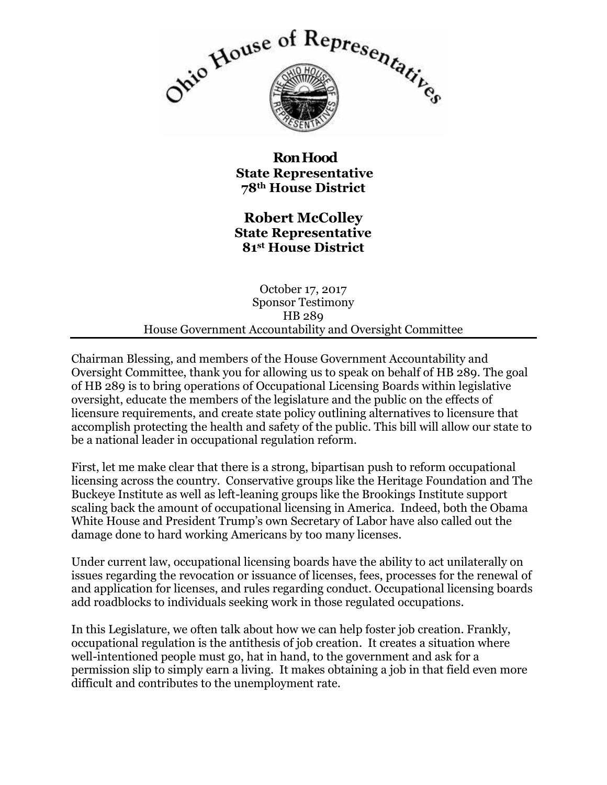

**Ron Hood State Representative 78th House District**

**Robert McColley State Representative 81st House District**

October 17, 2017 Sponsor Testimony HB 289 House Government Accountability and Oversight Committee

Chairman Blessing, and members of the House Government Accountability and Oversight Committee, thank you for allowing us to speak on behalf of HB 289. The goal of HB 289 is to bring operations of Occupational Licensing Boards within legislative oversight, educate the members of the legislature and the public on the effects of licensure requirements, and create state policy outlining alternatives to licensure that accomplish protecting the health and safety of the public. This bill will allow our state to be a national leader in occupational regulation reform.

First, let me make clear that there is a strong, bipartisan push to reform occupational licensing across the country. Conservative groups like the Heritage Foundation and The Buckeye Institute as well as left-leaning groups like the Brookings Institute support scaling back the amount of occupational licensing in America. Indeed, both the Obama White House and President Trump's own Secretary of Labor have also called out the damage done to hard working Americans by too many licenses.

Under current law, occupational licensing boards have the ability to act unilaterally on issues regarding the revocation or issuance of licenses, fees, processes for the renewal of and application for licenses, and rules regarding conduct. Occupational licensing boards add roadblocks to individuals seeking work in those regulated occupations.

In this Legislature, we often talk about how we can help foster job creation. Frankly, occupational regulation is the antithesis of job creation. It creates a situation where well-intentioned people must go, hat in hand, to the government and ask for a permission slip to simply earn a living. It makes obtaining a job in that field even more difficult and contributes to the unemployment rate.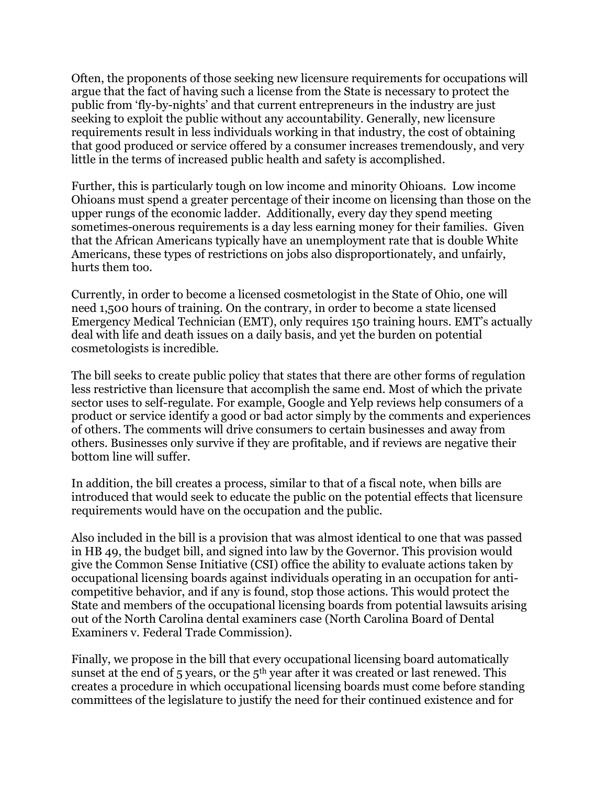Often, the proponents of those seeking new licensure requirements for occupations will argue that the fact of having such a license from the State is necessary to protect the public from 'fly-by-nights' and that current entrepreneurs in the industry are just seeking to exploit the public without any accountability. Generally, new licensure requirements result in less individuals working in that industry, the cost of obtaining that good produced or service offered by a consumer increases tremendously, and very little in the terms of increased public health and safety is accomplished.

Further, this is particularly tough on low income and minority Ohioans. Low income Ohioans must spend a greater percentage of their income on licensing than those on the upper rungs of the economic ladder. Additionally, every day they spend meeting sometimes-onerous requirements is a day less earning money for their families. Given that the African Americans typically have an unemployment rate that is double White Americans, these types of restrictions on jobs also disproportionately, and unfairly, hurts them too.

Currently, in order to become a licensed cosmetologist in the State of Ohio, one will need 1,500 hours of training. On the contrary, in order to become a state licensed Emergency Medical Technician (EMT), only requires 150 training hours. EMT's actually deal with life and death issues on a daily basis, and yet the burden on potential cosmetologists is incredible.

The bill seeks to create public policy that states that there are other forms of regulation less restrictive than licensure that accomplish the same end. Most of which the private sector uses to self-regulate. For example, Google and Yelp reviews help consumers of a product or service identify a good or bad actor simply by the comments and experiences of others. The comments will drive consumers to certain businesses and away from others. Businesses only survive if they are profitable, and if reviews are negative their bottom line will suffer.

In addition, the bill creates a process, similar to that of a fiscal note, when bills are introduced that would seek to educate the public on the potential effects that licensure requirements would have on the occupation and the public.

Also included in the bill is a provision that was almost identical to one that was passed in HB 49, the budget bill, and signed into law by the Governor. This provision would give the Common Sense Initiative (CSI) office the ability to evaluate actions taken by occupational licensing boards against individuals operating in an occupation for anticompetitive behavior, and if any is found, stop those actions. This would protect the State and members of the occupational licensing boards from potential lawsuits arising out of the North Carolina dental examiners case (North Carolina Board of Dental Examiners v. Federal Trade Commission).

Finally, we propose in the bill that every occupational licensing board automatically sunset at the end of 5 years, or the  $5<sup>th</sup>$  year after it was created or last renewed. This creates a procedure in which occupational licensing boards must come before standing committees of the legislature to justify the need for their continued existence and for